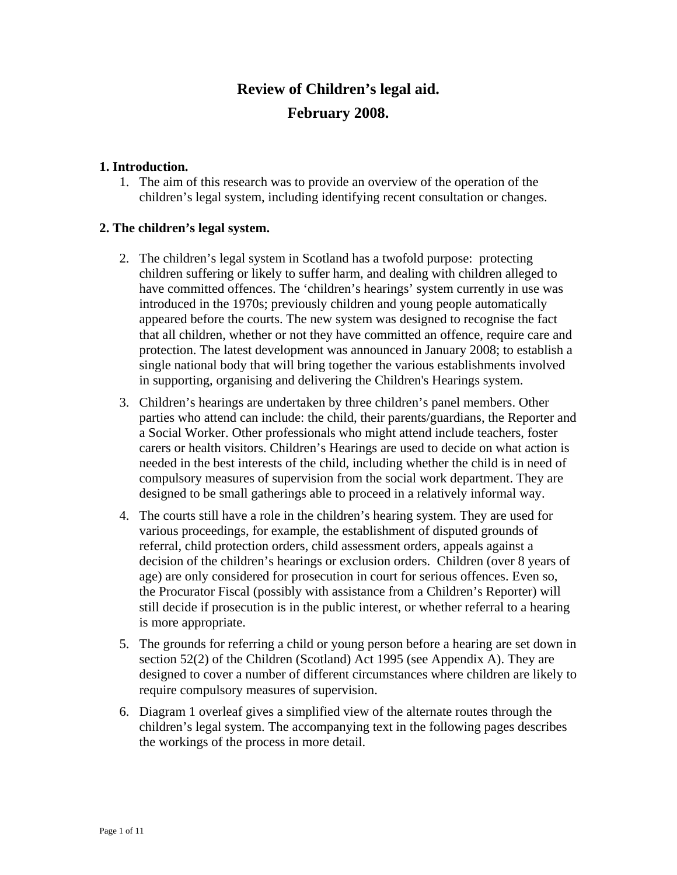# **Review of Children's legal aid. February 2008.**

### **1. Introduction.**

1. The aim of this research was to provide an overview of the operation of the children's legal system, including identifying recent consultation or changes.

## **2. The children's legal system.**

- 2. The children's legal system in Scotland has a twofold purpose: protecting children suffering or likely to suffer harm, and dealing with children alleged to have committed offences. The 'children's hearings' system currently in use was introduced in the 1970s; previously children and young people automatically appeared before the courts. The new system was designed to recognise the fact that all children, whether or not they have committed an offence, require care and protection. The latest development was announced in January 2008; to establish a single national body that will bring together the various establishments involved in supporting, organising and delivering the Children's Hearings system.
- 3. Children's hearings are undertaken by three children's panel members. Other parties who attend can include: the child, their parents/guardians, the Reporter and a Social Worker. Other professionals who might attend include teachers, foster carers or health visitors. Children's Hearings are used to decide on what action is needed in the best interests of the child, including whether the child is in need of compulsory measures of supervision from the social work department. They are designed to be small gatherings able to proceed in a relatively informal way.
- 4. The courts still have a role in the children's hearing system. They are used for various proceedings, for example, the establishment of disputed grounds of referral, child protection orders, child assessment orders, appeals against a decision of the children's hearings or exclusion orders. Children (over 8 years of age) are only considered for prosecution in court for serious offences. Even so, the Procurator Fiscal (possibly with assistance from a Children's Reporter) will still decide if prosecution is in the public interest, or whether referral to a hearing is more appropriate.
- 5. The grounds for referring a child or young person before a hearing are set down in section 52(2) of the Children (Scotland) Act 1995 (see Appendix A). They are designed to cover a number of different circumstances where children are likely to require compulsory measures of supervision.
- 6. Diagram 1 overleaf gives a simplified view of the alternate routes through the children's legal system. The accompanying text in the following pages describes the workings of the process in more detail.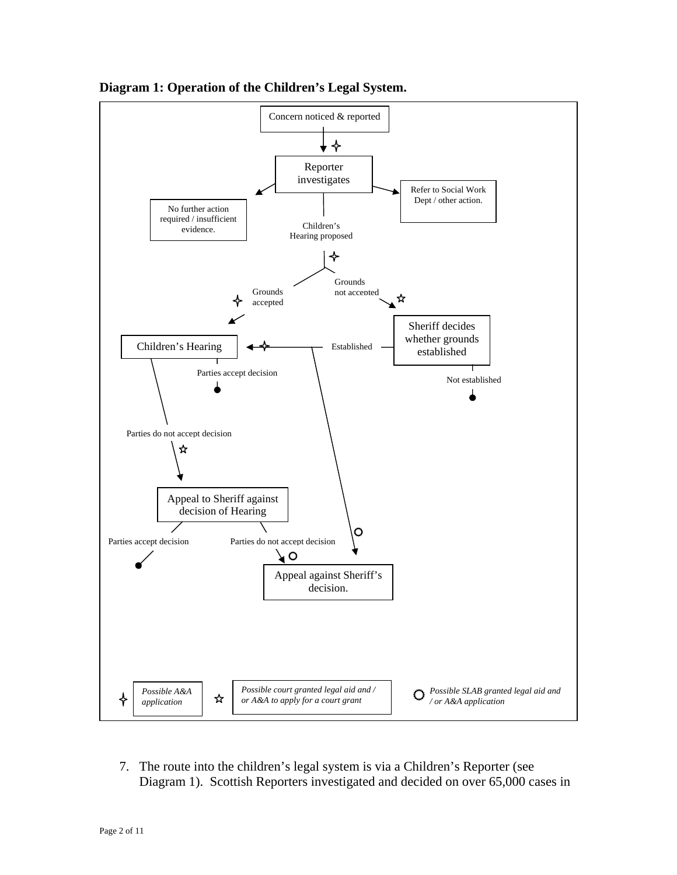

**Diagram 1: Operation of the Children's Legal System.** 

7. The route into the children's legal system is via a Children's Reporter (see Diagram 1). Scottish Reporters investigated and decided on over 65,000 cases in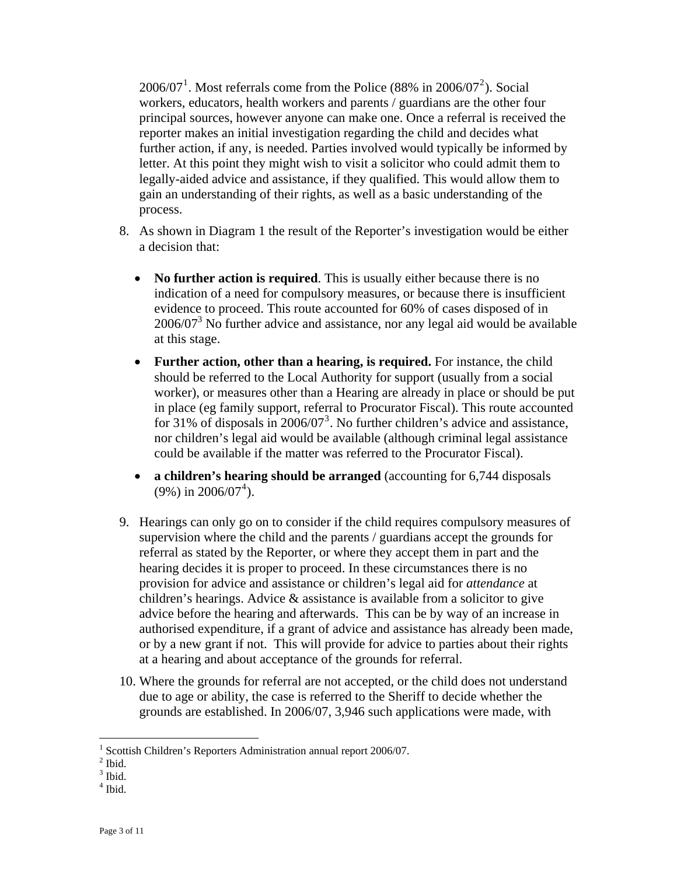$2006/07<sup>1</sup>$ . Most referrals come from the Police (88% in 2006/07<sup>2</sup>). Social workers, educators, health workers and parents / guardians are the other four principal sources, however anyone can make one. Once a referral is received the reporter makes an initial investigation regarding the child and decides what further action, if any, is needed. Parties involved would typically be informed by letter. At this point they might wish to visit a solicitor who could admit them to legally-aided advice and assistance, if they qualified. This would allow the m to gain an understanding of their rights, as well as a basic understanding of the process.

- 8. As shown in Diagram 1 the result of the Reporter's investigation would be either a decision that:
	- indication of a need for compulsory measures, or because there is insufficient  $2006/07<sup>3</sup>$  No further advice and assistance, nor any legal aid would be available • **No further action is required**. This is usually either because there is no evidence to proceed. This route accounted for 60% of cases disposed of in at this stage.
	- nor children's legal aid would be available (although criminal legal assistance • **Further action, other than a hearing, is required.** For instance, the child should be referred to the Local Authority for support (usually from a social worker), or measures other than a Hearing are already in place or should be put in place (eg family support, referral to Procurator Fiscal). This route accounted for [3](#page-2-0)1% of disposals in  $2006/07^3$ . No further children's advice and assistance, could be available if the matter was referred to the Procurator Fiscal).
	- **a children's hearing should be arranged** (accounting for 6,744 disposals  $(9\%)$  in 2006/07<sup>4</sup>).
- 9. Hearings can only go on to consider if the child requires compulsory measures of supervision where the child and the parents / guardians accept the grounds for referral as stated by the Reporter, or where they accept them in part and the or by a new grant if not. This will provide for advice to parties about their rights hearing decides it is proper to proceed. In these circumstances there is no provision for advice and assistance or children's legal aid for *attendance* at children's hearings. Advice  $\&$  assistance is available from a solicitor to give advice before the hearing and afterwards. This can be by way of an increase in authorised expenditure, if a grant of advice and assistance has already been made, at a hearing and about acceptance of the grounds for referral.
- 10. Where the grounds for referral are not accepted, or the child does not understand grounds are established. In 2006/07, 3,946 such applications were made, with due to age or ability, the case is referred to the Sheriff to decide whether the

<u>.</u>

4 Ibid.

<sup>&</sup>lt;sup>1</sup> Scottish Children's Reporters Administration annual report 2006/07.

 $<sup>2</sup>$  Ibid.</sup>

<span id="page-2-0"></span> $3$  Ibid.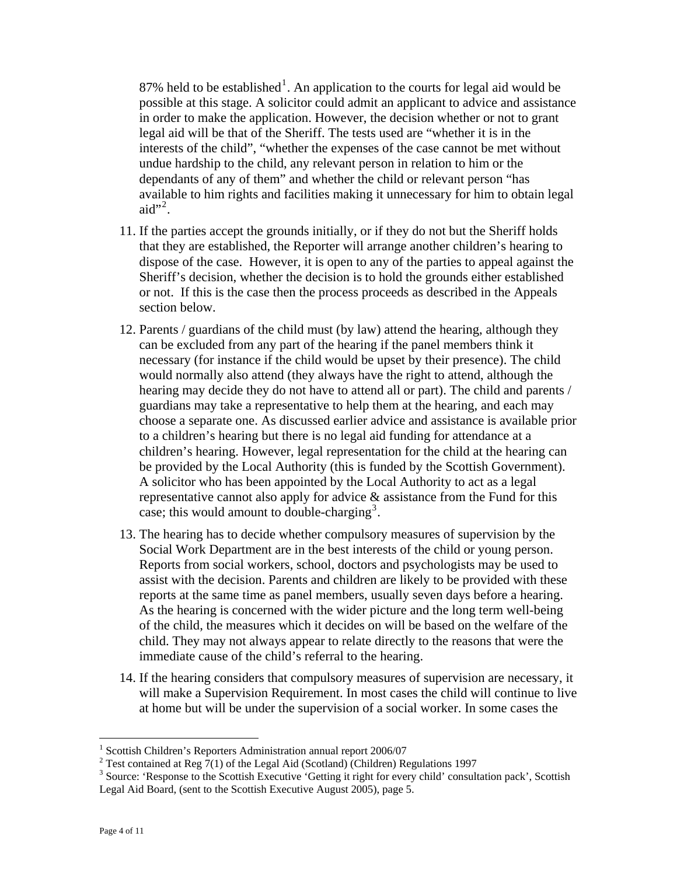87% held to be established<sup>1</sup>. An application to the courts for legal aid would be possible at this stage. A solicitor could admit an applicant to advice and assistance in order to make the application. However, the decision whether or not to grant legal aid will be that of the Sheriff. The tests used are "whether it is in the interests of the child", "whether the expenses of the case cannot be met without undue hardship to the child, any relevant person in relation to him or the dependants of any of them" and whether the child or relevant person "has available to him rights and facilities making it unnecessary for him to obtain legal aid"<sup>2</sup>.

- 11. If the parties accept the grounds initially, or if they do not but the Sheriff holds that they are established, the Reporter will arrange another children's hearing to dispose of the case. However, it is open to any of the parties to appeal against the Sheriff's decision, whether the decision is to hold the grounds either established or not. If this is the case then the process proceeds as described in the Appeals section below.
- 12. Parents / guardians of the child must (by law) attend the hearing, although they can be excluded from any part of the hearing if the panel members think it necessary (for instance if the child would be upset by their presence). The child would normally also attend (they always have the right to attend, although the hearing may decide they do not have to attend all or part). The child and parents / guardians may take a representative to help them at the hearing, and each may choose a separate one. As discussed earlier advice and assistance is available prior to a children's hearing but there is no legal aid funding for attendance at a children's hearing. However, legal representation for the child at the hearing can be provided by the Local Authority (this is funded by the Scottish Government). A solicitor who has been appointed by the Local Authority to act as a legal representative cannot also apply for advice & assistance from the Fund for this case; this would amount to double-charging<sup>[3](#page-3-0)</sup>.
- 13. The hearing has to decide whether compulsory measures of supervision by the Social Work Department are in the best interests of the child or young person. Reports from social workers, school, doctors and psychologists may be used to assist with the decision. Parents and children are likely to be provided with these reports at the same time as panel members, usually seven days before a hearing. As the hearing is concerned with the wider picture and the long term well-being of the child, the measures which it decides on will be based on the welfare of the child. They may not always appear to relate directly to the reasons that were the immediate cause of the child's referral to the hearing.
- 14. If the hearing considers that compulsory measures of supervision are necessary, it will make a Supervision Requirement. In most cases the child will continue to live at home but will be under the supervision of a social worker. In some cases the

 1 Scottish Children's Reporters Administration annual report 2006/07

<sup>&</sup>lt;sup>2</sup> Test contained at Reg  $7(1)$  of the Legal Aid (Scotland) (Children) Regulations 1997

<span id="page-3-0"></span><sup>&</sup>lt;sup>3</sup> Source: 'Response to the Scottish Executive 'Getting it right for every child' consultation pack', Scottish Legal Aid Board, (sent to the Scottish Executive August 2005), page 5.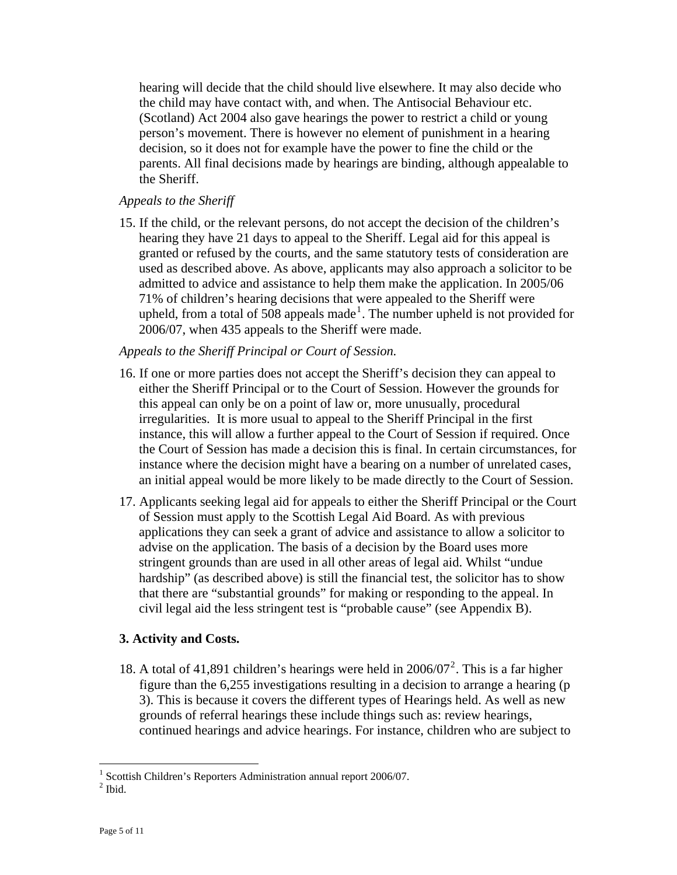hearing will decide that the child should live elsewhere. It may also decide who the child may have contact with, and when. The Antisocial Behaviour etc. (Scotland) Act 2004 also gave hearings the power to restrict a child or young person's movement. There is however no element of punishment in a hearing decision, so it does not for example have the power to fine the child or the parents. All final decisions made by hearings are binding, although appealable to the Sheriff.

#### *Appeals to the Sheriff*

15. If the child, or the relevant persons, do not accept the decision of the children's hearing they have 21 days to appeal to the Sheriff. Legal aid for this appeal is granted or refused by the courts, and the same statutory tests of consideration are used as described above. As above, applicants may also approach a solicitor to be admitted to advice and assistance to help them make the application. In 2005/06 71% of children's hearing decisions that were appealed to the Sheriff were upheld, from a total of 508 appeals made<sup>[1](#page-4-0)</sup>. The number upheld is not provided for 2006/07, when 435 appeals to the Sheriff were made.

#### *Appeals to the Sheriff Principal or Court of Session.*

- 16. If one or more parties does not accept the Sheriff's decision they can appeal to either the Sheriff Principal or to the Court of Session. However the grounds for this appeal can only be on a point of law or, more unusually, procedural irregularities. It is more usual to appeal to the Sheriff Principal in the first instance, this will allow a further appeal to the Court of Session if required. Once the Court of Session has made a decision this is final. In certain circumstances, for instance where the decision might have a bearing on a number of unrelated cases, an initial appeal would be more likely to be made directly to the Court of Session.
- 17. Applicants seeking legal aid for appeals to either the Sheriff Principal or the Court of Session must apply to the Scottish Legal Aid Board. As with previous applications they can seek a grant of advice and assistance to allow a solicitor to advise on the application. The basis of a decision by the Board uses more stringent grounds than are used in all other areas of legal aid. Whilst "undue hardship" (as described above) is still the financial test, the solicitor has to show that there are "substantial grounds" for making or responding to the appeal. In civil legal aid the less stringent test is "probable cause" (see Appendix B).

#### **3. Activity and Costs.**

18. A total of 41,891 children's hearings were held in  $2006/07^2$  $2006/07^2$ . This is a far higher figure than the 6,255 investigations resulting in a decision to arrange a hearing (p 3). This is because it covers the different types of Hearings held. As well as new grounds of referral hearings these include things such as: review hearings, continued hearings and advice hearings. For instance, children who are subject to

 $\overline{a}$ 

<sup>&</sup>lt;sup>1</sup> Scottish Children's Reporters Administration annual report 2006/07.

<span id="page-4-1"></span><span id="page-4-0"></span> $<sup>2</sup>$  Ibid.</sup>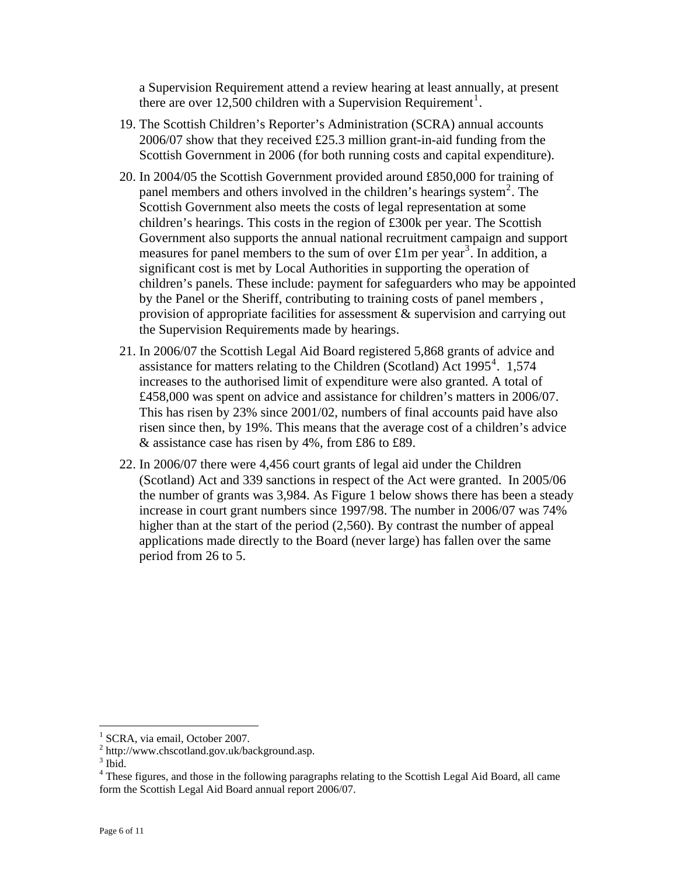a Supervision Requirement attend a review hearing at least annually, at present there are over 12,500 children with a Supervision Requirement<sup>1</sup>.

- 19. The Scottish Children's Reporter's Administration (SCRA) annual accounts 2006/07 show that they received £25.3 million grant-in-aid funding from the Scottish Government in 2006 (for both running costs and capital expenditure).
- 20. In 2004/05 the Scottish Government provided around £850,000 for training of panel members and others involved in the children's hearings system<sup>[2](#page-5-0)</sup>. The Scottish Government also meets the costs of legal representation at some children's hearings. This costs in the region of £300k per year. The Scottish Government also supports the annual national recruitment campaign and support measures for panel members to the sum of over £1m per year<sup>[3](#page-5-1)</sup>. In addition, a significant cost is met by Local Authorities in supporting the operation of children's panels. These include: payment for safeguarders who may be appointed by the Panel or the Sheriff, contributing to training costs of panel members , provision of appropriate facilities for assessment & supervision and carrying out the Supervision Requirements made by hearings.
- 21. In 2006/07 the Scottish Legal Aid Board registered 5,868 grants of advice and assistance for matters relating to the Children (Scotland) Act  $1995^4$  $1995^4$ . 1,574 increases to the authorised limit of expenditure were also granted. A total of £458,000 was spent on advice and assistance for children's matters in 2006/07. This has risen by 23% since 2001/02, numbers of final accounts paid have also risen since then, by 19%. This means that the average cost of a children's advice & assistance case has risen by 4%, from £86 to £89.
- 22. In 2006/07 there were 4,456 court grants of legal aid under the Children (Scotland) Act and 339 sanctions in respect of the Act were granted. In 2005/06 the number of grants was 3,984. As Figure 1 below shows there has been a steady increase in court grant numbers since 1997/98. The number in 2006/07 was 74% higher than at the start of the period (2,560). By contrast the number of appeal applications made directly to the Board (never large) has fallen over the same period from 26 to 5.

 $\overline{a}$ 

<sup>&</sup>lt;sup>1</sup> SCRA, via email, October 2007.

 $2$  http://www.chscotland.gov.uk/background.asp.

<span id="page-5-1"></span><span id="page-5-0"></span> $3$  Ibid.

<span id="page-5-2"></span><sup>&</sup>lt;sup>4</sup> These figures, and those in the following paragraphs relating to the Scottish Legal Aid Board, all came form the Scottish Legal Aid Board annual report 2006/07.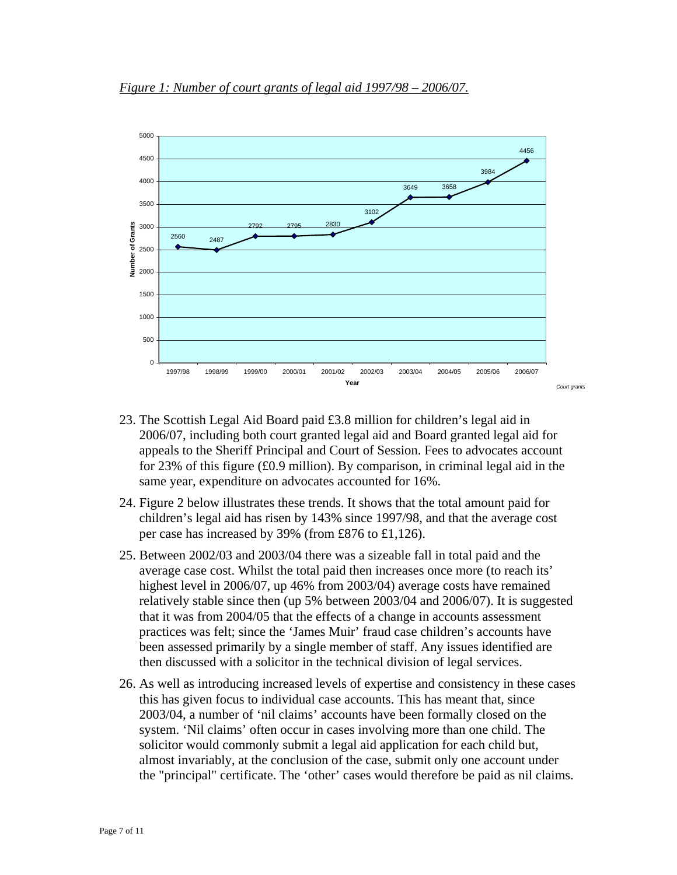

- 23. The Scottish Legal Aid Board paid £3.8 million for children's legal aid in 2006/07, including both court granted legal aid and Board granted legal aid for appeals to the Sheriff Principal and Court of Session. Fees to advocates account for 23% of this figure (£0.9 million). By comparison, in criminal legal aid in the same year, expenditure on advocates accounted for 16%.
- 24. Figure 2 below illustrates these trends. It shows that the total amount paid for children's legal aid has risen by 143% since 1997/98, and that the average cost per case has increased by 39% (from £876 to £1,126).
- 25. Between 2002/03 and 2003/04 there was a sizeable fall in total paid and the average case cost. Whilst the total paid then increases once more (to reach its' highest level in 2006/07, up 46% from 2003/04) average costs have remained relatively stable since then (up 5% between 2003/04 and 2006/07). It is suggested that it was from 2004/05 that the effects of a change in accounts assessment practices was felt; since the 'James Muir' fraud case children's accounts have been assessed primarily by a single member of staff. Any issues identified are then discussed with a solicitor in the technical division of legal services.
- 26. As well as introducing increased levels of expertise and consistency in these cases this has given focus to individual case accounts. This has meant that, since 2003/04, a number of 'nil claims' accounts have been formally closed on the system. 'Nil claims' often occur in cases involving more than one child. The solicitor would commonly submit a legal aid application for each child but, almost invariably, at the conclusion of the case, submit only one account under the "principal" certificate. The 'other' cases would therefore be paid as nil claims.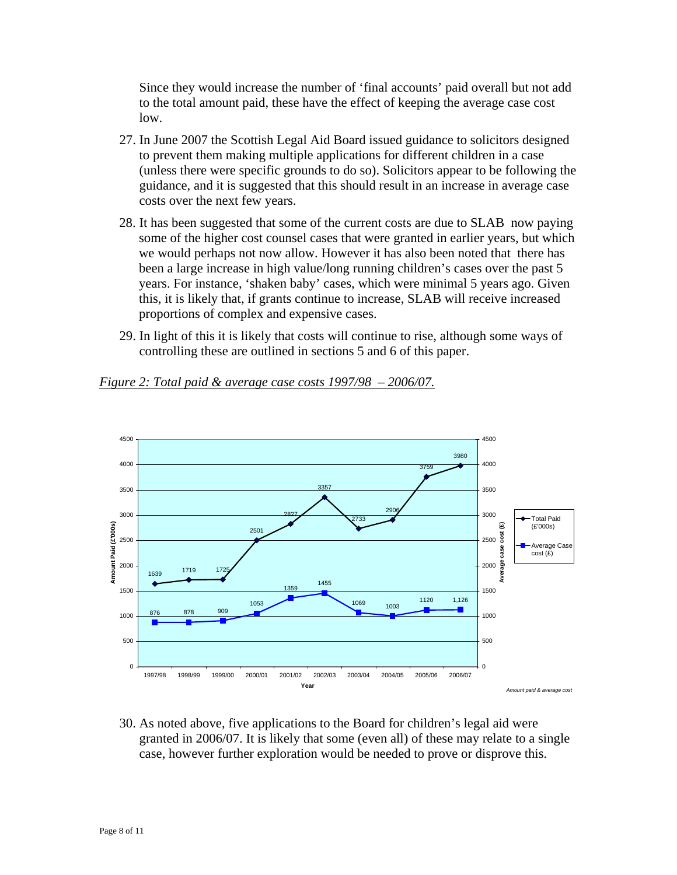Since they would increase the number of 'final accounts' paid overall but not add to the total amount paid, these have the effect of keeping the average case cost low.

- 27. In June 2007 the Scottish Legal Aid Board issued guidance to solicitors designed to prevent them making multiple applications for different children in a case (unless there were specific grounds to do so). Solicitors appear to be following the guidance, and it is suggested that this should result in an increase in average case costs over the next few years.
- 28. It has been suggested that some of the current costs are due to SLAB now paying some of the higher cost counsel cases that were granted in earlier years, but which we would perhaps not now allow. However it has also been noted that there has been a large increase in high value/long running children's cases over the past 5 years. For instance, 'shaken baby' cases, which were minimal 5 years ago. Given this, it is likely that, if grants continue to increase, SLAB will receive increased proportions of complex and expensive cases.
- 29. In light of this it is likely that costs will continue to rise, although some ways of controlling these are outlined in sections 5 and 6 of this paper.



## *Figure 2: Total paid & average case costs 1997/98 – 2006/07.*

30. As noted above, five applications to the Board for children's legal aid were granted in 2006/07. It is likely that some (even all) of these may relate to a single case, however further exploration would be needed to prove or disprove this.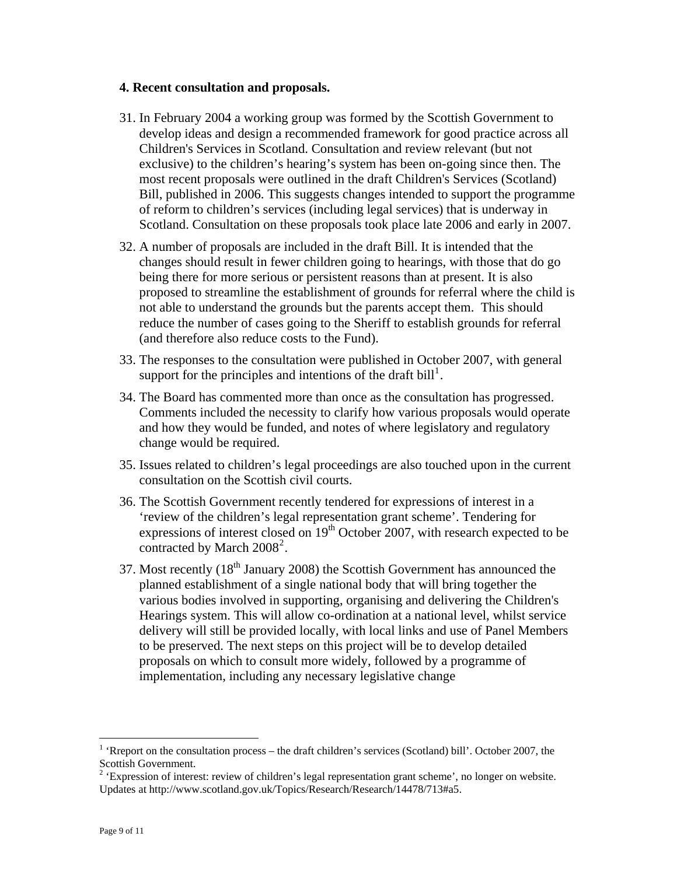#### **4. Recent consultation and proposals.**

- 31. In February 2004 a working group was formed by the Scottish Government to develop ideas and design a recommended framework for good practice across all Children's Services in Scotland. Consultation and review relevant (but not exclusive) to the children's hearing's system has been on-going since then. The most recent proposals were outlined in the draft Children's Services (Scotland) Bill, published in 2006. This suggests changes intended to support the programme of reform to children's services (including legal services) that is underway in Scotland. Consultation on these proposals took place late 2006 and early in 2007.
- 32. A number of proposals are included in the draft Bill. It is intended that the changes should result in fewer children going to hearings, with those that do go being there for more serious or persistent reasons than at present. It is also proposed to streamline the establishment of grounds for referral where the child is not able to understand the grounds but the parents accept them. This should reduce the number of cases going to the Sheriff to establish grounds for referral (and therefore also reduce costs to the Fund).
- 33. The responses to the consultation were published in October 2007, with general support for the principles and intentions of the draft bill<sup>[1](#page-8-0)</sup>.
- 34. The Board has commented more than once as the consultation has progressed. Comments included the necessity to clarify how various proposals would operate and how they would be funded, and notes of where legislatory and regulatory change would be required.
- 35. Issues related to children's legal proceedings are also touched upon in the current consultation on the Scottish civil courts.
- 36. The Scottish Government recently tendered for expressions of interest in a 'review of the children's legal representation grant scheme'. Tendering for expressions of interest closed on  $19<sup>th</sup>$  October 2007, with research expected to be contracted by March  $2008^2$  $2008^2$ .
- 37. Most recently  $(18<sup>th</sup> January 2008)$  the Scottish Government has announced the planned establishment of a single national body that will bring together the various bodies involved in supporting, organising and delivering the Children's Hearings system. This will allow co-ordination at a national level, whilst service delivery will still be provided locally, with local links and use of Panel Members to be preserved. The next steps on this project will be to develop detailed proposals on which to consult more widely, followed by a programme of implementation, including any necessary legislative change

 $\overline{a}$ 

<span id="page-8-0"></span> $<sup>1</sup>$  'Rreport on the consultation process – the draft children's services (Scotland) bill'. October 2007, the</sup> Scottish Government.

<span id="page-8-1"></span> $2 \text{ 'Expression of interest: review of children's legal representation grant scheme', no longer on website.}$ Updates at http://www.scotland.gov.uk/Topics/Research/Research/14478/713#a5.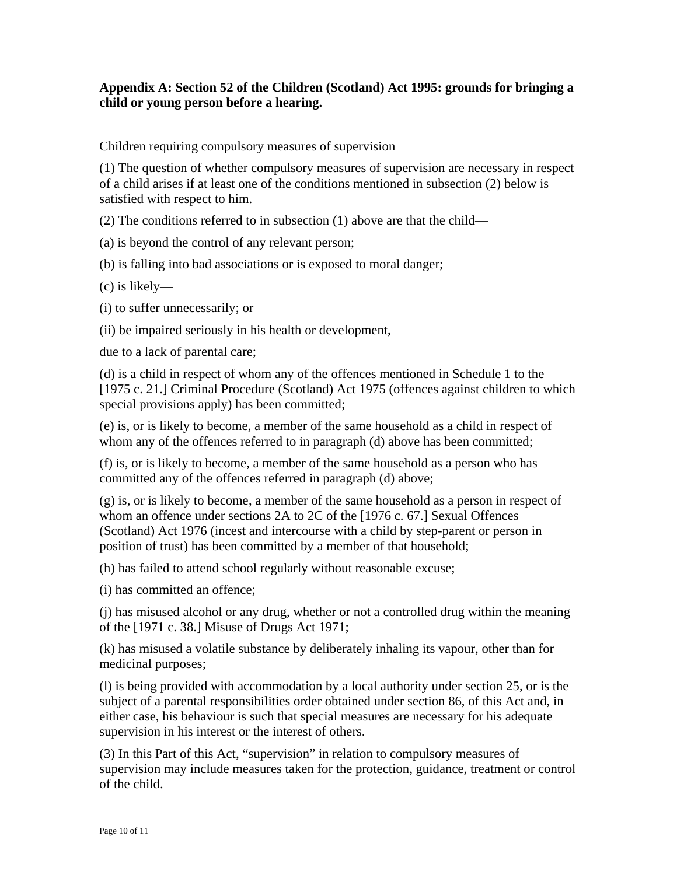## **Appendix A: Section 52 of the Children (Scotland) Act 1995: grounds for bringing a child or young person before a hearing.**

Children requiring compulsory measures of supervision

(1) The question of whether compulsory measures of supervision are necessary in respect of a child arises if at least one of the conditions mentioned in subsection (2) below is satisfied with respect to him.

(2) The conditions referred to in subsection (1) above are that the child—

(a) is beyond the control of any relevant person;

(b) is falling into bad associations or is exposed to moral danger;

(c) is likely—

(i) to suffer unnecessarily; or

(ii) be impaired seriously in his health or development,

due to a lack of parental care;

(d) is a child in respect of whom any of the offences mentioned in Schedule 1 to the [1975 c. 21.] Criminal Procedure (Scotland) Act 1975 (offences against children to which special provisions apply) has been committed;

(e) is, or is likely to become, a member of the same household as a child in respect of whom any of the offences referred to in paragraph (d) above has been committed;

(f) is, or is likely to become, a member of the same household as a person who has committed any of the offences referred in paragraph (d) above;

(g) is, or is likely to become, a member of the same household as a person in respect of whom an offence under sections 2A to 2C of the [1976 c. 67.] Sexual Offences (Scotland) Act 1976 (incest and intercourse with a child by step-parent or person in position of trust) has been committed by a member of that household;

(h) has failed to attend school regularly without reasonable excuse;

(i) has committed an offence;

(j) has misused alcohol or any drug, whether or not a controlled drug within the meaning of the [1971 c. 38.] Misuse of Drugs Act 1971;

(k) has misused a volatile substance by deliberately inhaling its vapour, other than for medicinal purposes;

(l) is being provided with accommodation by a local authority under section 25, or is the subject of a parental responsibilities order obtained under section 86, of this Act and, in either case, his behaviour is such that special measures are necessary for his adequate supervision in his interest or the interest of others.

(3) In this Part of this Act, "supervision" in relation to compulsory measures of supervision may include measures taken for the protection, guidance, treatment or control of the child.